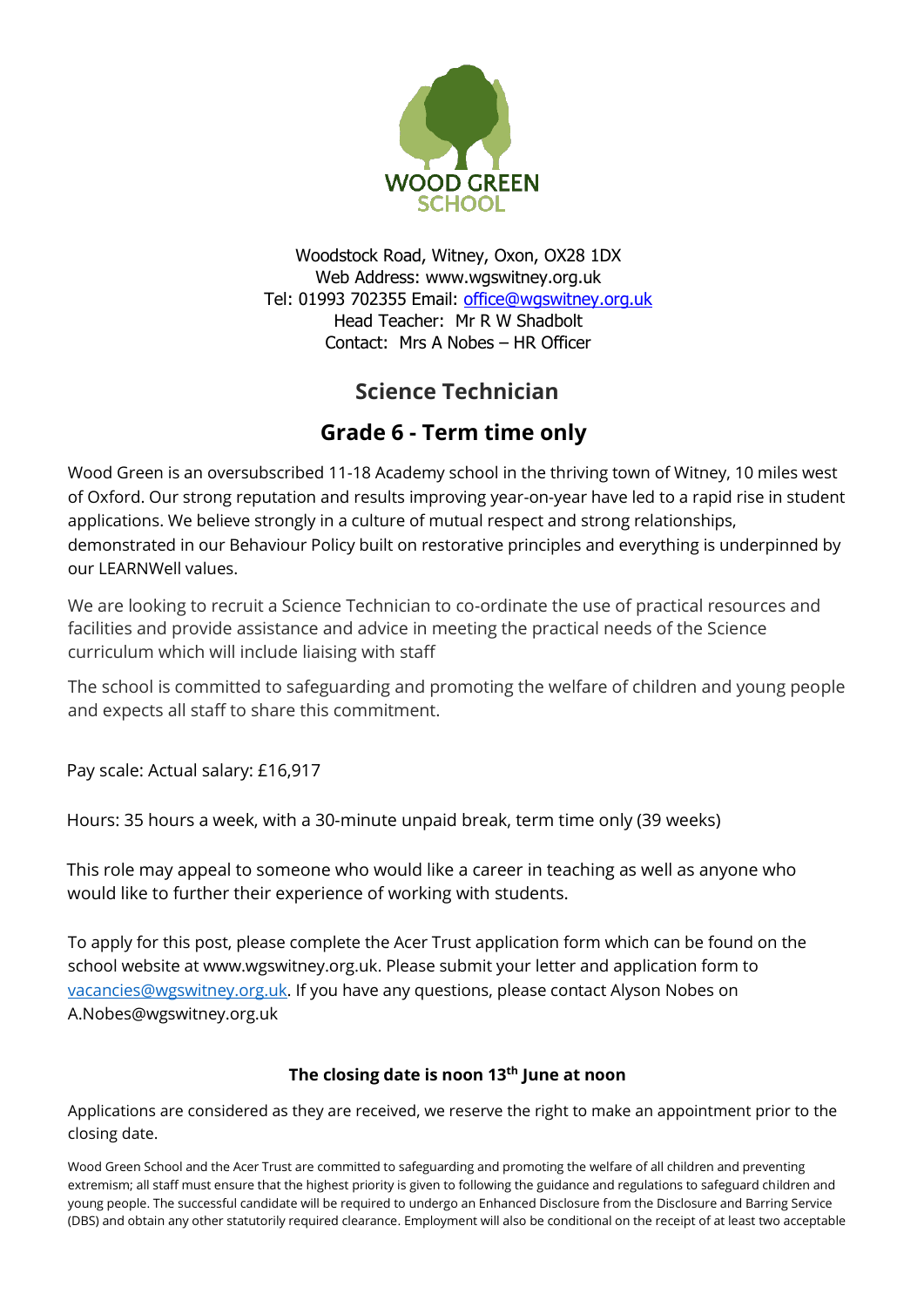

Woodstock Road, Witney, Oxon, OX28 1DX Web Address: www.wgswitney.org.uk Tel: 01993 702355 Email: office@wgswitney.org.uk Head Teacher: Mr R W Shadbolt Contact: Mrs A Nobes – HR Officer

## **Science Technician**

## **Grade 6 - Term time only**

Wood Green is an oversubscribed 11-18 Academy school in the thriving town of Witney, 10 miles west of Oxford. Our strong reputation and results improving year-on-year have led to a rapid rise in student applications. We believe strongly in a culture of mutual respect and strong relationships, demonstrated in our Behaviour Policy built on restorative principles and everything is underpinned by our LEARNWell values.

We are looking to recruit a Science Technician to co-ordinate the use of practical resources and facilities and provide assistance and advice in meeting the practical needs of the Science curriculum which will include liaising with staff

The school is committed to safeguarding and promoting the welfare of children and young people and expects all staff to share this commitment.

Pay scale: Actual salary: £16,917

Hours: 35 hours a week, with a 30-minute unpaid break, term time only (39 weeks)

This role may appeal to someone who would like a career in teaching as well as anyone who would like to further their experience of working with students.

To apply for this post, please complete the Acer Trust application form which can be found on the school website at www.wgswitney.org.uk. Please submit your letter and application form to [vacancies@wgswitney.org.uk.](mailto:vacancies@wgswitney.org.uk) If you have any questions, please contact Alyson Nobes on A.Nobes@wgswitney.org.uk

## **The closing date is noon 13th June at noon**

Applications are considered as they are received, we reserve the right to make an appointment prior to the closing date.

Wood Green School and the Acer Trust are committed to safeguarding and promoting the welfare of all children and preventing extremism; all staff must ensure that the highest priority is given to following the guidance and regulations to safeguard children and young people. The successful candidate will be required to undergo an Enhanced Disclosure from the Disclosure and Barring Service (DBS) and obtain any other statutorily required clearance. Employment will also be conditional on the receipt of at least two acceptable